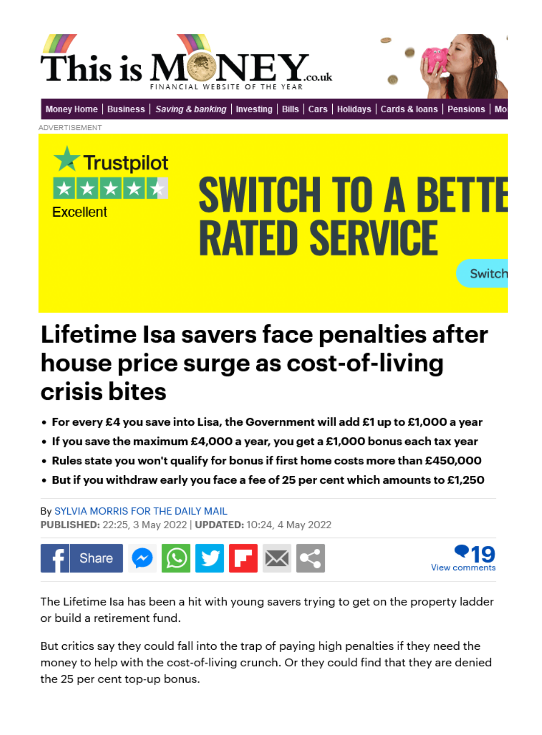



[Money Home](https://www.thisismoney.co.uk/money/index.html) | [Business](https://www.thisismoney.co.uk/money/markets/index.html) | [Saving & banking](https://www.thisismoney.co.uk/money/saving/index.html) | [Investing](https://www.thisismoney.co.uk/money/investing/index.html) | [Bills](https://www.thisismoney.co.uk/money/bills/index.html) | [Cars](https://www.thisismoney.co.uk/money/cars/index.html) | [Holidays](https://www.thisismoney.co.uk/money/holidays/index.html) | [Cards & loans](https://www.thisismoney.co.uk/money/cardsloans/index.html) | [Pensions](https://www.thisismoney.co.uk/money/pensions/index.html) | Mo

Advertisement



# **SWITCH TO A BETTE RATED SERVICE Switch**

Lifetime Isa savers face penalties after house price surge as cost-of-living crisis bites

- For every £4 you save into Lisa, the Government will add £1 up to £1,000 a year
- $\bullet$  If you save the maximum £4,000 a year, you get a £1,000 bonus each tax year
- Rules state you won't qualify for bonus if first home costs more than £450,000
- $\bullet$  But if you withdraw early you face a fee of 25 per cent which amounts to £1,250

By [Sylvia Morris For The Daily Mail](https://www.thisismoney.co.uk/home/search.html?s=&authornamef=Sylvia+Morris+For+The+Daily+Mail)  Published: 22:25, 3 May 2022 | Updated: 10:24, 4 May 2022





The Lifetime Isa has been a hit with young savers trying to get on the property ladder or build a retirement fund.

But critics say they could fall into the trap of paying high penalties if they need the money to help with the cost-of-living crunch. Or they could find that they are denied the 25 per cent top-up bonus.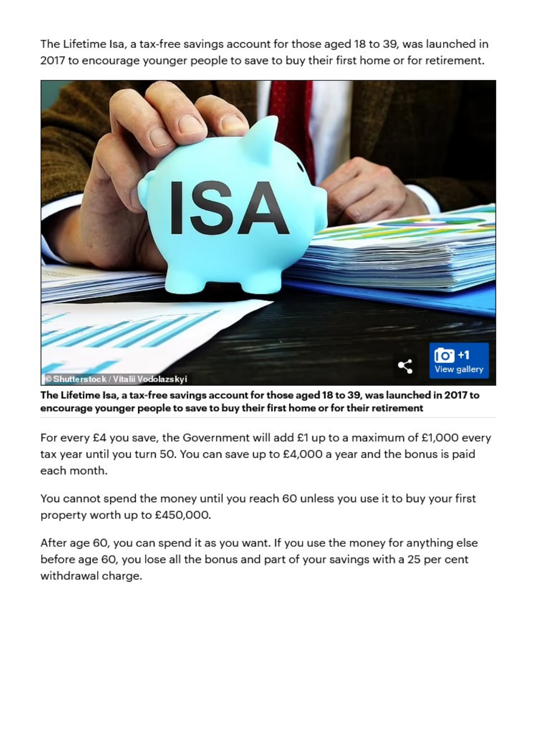The Lifetime Isa, a tax-free savings account for those aged 18 to 39, was launched in 2017 to encourage younger people to save to buy their first home or for retirement.



The Lifetime Isa, a tax-free savings account for those aged 18 to 39, was launched in 2017 to encourage younger people to save to buy their first home or for their retirement

For every £4 you save, the Government will add £1 up to a maximum of £1,000 every tax year until you turn 50. You can save up to £4,000 a year and the bonus is paid each month.

You cannot spend the money until you reach 60 unless you use it to buy your first property worth up to £450,000.

After age 60, you can spend it as you want. If you use the money for anything else before age 60, you lose all the bonus and part of your savings with a 25 per cent withdrawal charge.